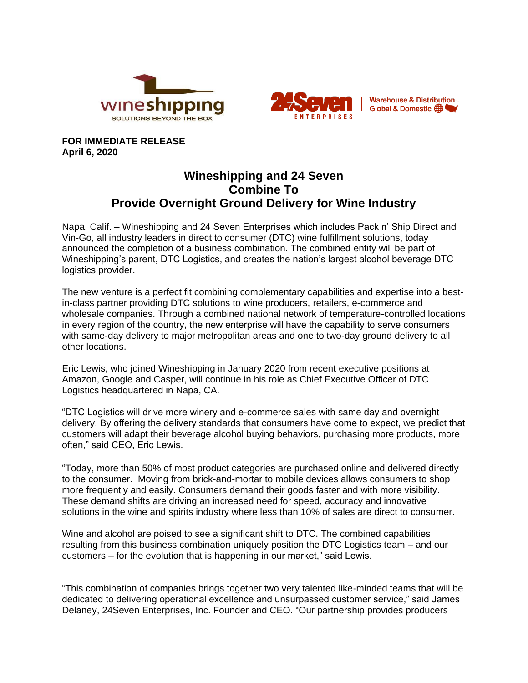



**Warehouse & Distribution-**Global & Domestic (B)

**FOR IMMEDIATE RELEASE April 6, 2020**

## **Wineshipping and 24 Seven Combine To Provide Overnight Ground Delivery for Wine Industry**

Napa, Calif. – Wineshipping and 24 Seven Enterprises which includes Pack n' Ship Direct and Vin-Go, all industry leaders in direct to consumer (DTC) wine fulfillment solutions, today announced the completion of a business combination. The combined entity will be part of Wineshipping's parent, DTC Logistics, and creates the nation's largest alcohol beverage DTC logistics provider.

The new venture is a perfect fit combining complementary capabilities and expertise into a bestin-class partner providing DTC solutions to wine producers, retailers, e-commerce and wholesale companies. Through a combined national network of temperature-controlled locations in every region of the country, the new enterprise will have the capability to serve consumers with same-day delivery to major metropolitan areas and one to two-day ground delivery to all other locations.

Eric Lewis, who joined Wineshipping in January 2020 from recent executive positions at Amazon, Google and Casper, will continue in his role as Chief Executive Officer of DTC Logistics headquartered in Napa, CA.

"DTC Logistics will drive more winery and e-commerce sales with same day and overnight delivery. By offering the delivery standards that consumers have come to expect, we predict that customers will adapt their beverage alcohol buying behaviors, purchasing more products, more often," said CEO, Eric Lewis.

"Today, more than 50% of most product categories are purchased online and delivered directly to the consumer. Moving from brick-and-mortar to mobile devices allows consumers to shop more frequently and easily. Consumers demand their goods faster and with more visibility. These demand shifts are driving an increased need for speed, accuracy and innovative solutions in the wine and spirits industry where less than 10% of sales are direct to consumer.

Wine and alcohol are poised to see a significant shift to DTC. The combined capabilities resulting from this business combination uniquely position the DTC Logistics team – and our customers – for the evolution that is happening in our market," said Lewis.

"This combination of companies brings together two very talented like-minded teams that will be dedicated to delivering operational excellence and unsurpassed customer service," said James Delaney, 24Seven Enterprises, Inc. Founder and CEO. "Our partnership provides producers